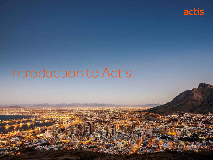

# Introduction to Actis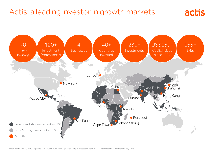# Actis: a leading investor in growth markets



actis

Note: As at February 2019. Capital raised includes Fund 1 vintage which comprises assets funded by CDC's balance sheet and managed by Actis.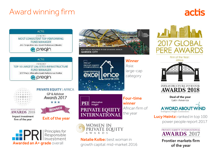# Award winning firm

# actis

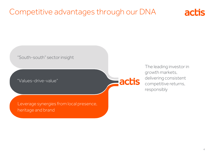# Competitive advantages through our DNA



actis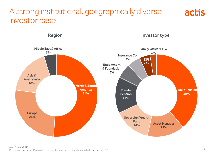## A strong institutional, geographically diverse investor base



actis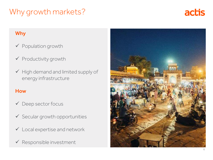# Why growth markets?



## Why

- $\checkmark$  Population growth
- $\checkmark$  Productivity growth
- $\checkmark$  High demand and limited supply of energy infrastructure

## **How**

- ◆ Deep sector focus
- $\checkmark$  Secular growth opportunities
- Local expertise and network
- $\checkmark$  Responsible investment

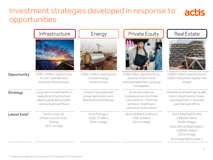## Investment strategies developed in response to actis opportunities

|                          | Infrastructure                                                                                             | Energy                                                                     | <b>Private Equity</b>                                                                                                    | <b>Real Estate</b>                                                                                                                                      |
|--------------------------|------------------------------------------------------------------------------------------------------------|----------------------------------------------------------------------------|--------------------------------------------------------------------------------------------------------------------------|---------------------------------------------------------------------------------------------------------------------------------------------------------|
|                          |                                                                                                            |                                                                            |                                                                                                                          |                                                                                                                                                         |
| Opportunity              | US\$1.3 trillion opportunity<br>to own, operate and<br>improve infrastructure                              | US\$4.3 trillion opportunity<br>to build energy<br>infrastructure          | US\$5 trillion opportunity to<br>acquire, invest in and<br>institutionalise fast-growing<br>companies                    | US\$25 trillion opportunity to<br>build institutional-quality real<br>estate                                                                            |
| <b>Strategy</b>          | Long-term investments in<br>operating infrastructure<br>assets generating stable<br>contractual cash flows | Invest in buy and build<br>power generation and<br>distribution businesses | Grow and improve<br>businesses across three<br>core sectors - financial<br>services, healthcare,<br>consumer & education | Develop and build high quality<br>retail, industrial and mixed-<br>use properties in Asia and<br>sub-Saharan Africa                                     |
| Latest fund <sup>1</sup> | Actis Long Life<br>Infrastructure Fund-<br>Raising<br>2017 vintage                                         | Actis Energy 4<br>US\$2.75 billion<br>2016 vintage                         | Actis Global 4 & Africa 4<br>US\$1.6 billion<br>2012 vintage                                                             | Actis Asia Real Estate<br>US\$500 million<br>2018 vintage;<br>Actis Africa Real Estate 3<br>US\$500 million<br>2015 vintage<br>Actis Asia Real Estate 2 |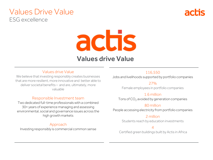## Values Drive Value ESG excellence



# actis

## Values drive Value

#### Values drive Value

We believe that investing responsibly creates businesses that are more resilient, more innovative and better able to deliver societal benefits – and are, ultimately, more valuable

#### Responsible Investment team

Two dedicated full-time professionals with a combined 30+ years of experience managing and assessing environmental, social and governance issues across the high growth markets

## Approach

Investing responsibly is commercial common sense

#### 116,550

Jobs and livelihoods supported by portfolio companies

27%

Female employees in portfolio companies

## 1.6 million

Tons of CO<sub>2</sub> avoided by generation companies

## 80 million

People accessing electricity from portfolio companies

### 2 million

Students reach by education investments

## 4

Certified green buildings built by Actis in Africa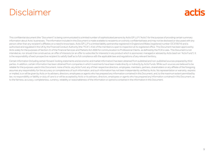# Disclaimer

# actis

This confidential document (the "Document") is being communicated to a limited number of sophisticated persons by Actis GP LLP ("Actis") for the purpose of providing certain summary information about Actis' businesses. The information included in this Document is made available to recipients on a strictly confidential basis and may not be disclosed or discussed with any person other than any recipient's affiliates on a need to know basis. Actis GP LLP is a limited liability partnership registered in England and Wales (registered number OC370074) and is authorised and requlated in the UK by the Financial Conduct Authority (the "FCA"). A list of the members is open to inspection at its registered office. This Document has been approved by Actis solely for the purposes of Section 21 of the Financial Services and Markets Act 2000 for communication to Professional Clients, as defined by the FCA's rules. This Document is not intended as, nor should it be construed as, an offer of interests (or an offer to subscribe for interests) in any product which is sponsored, managed or advised by Actis (each an "Actis Fund"). It is the responsibility of each prospective recipient to satisfy itself as to full compliance with the applicable laws and regulations of any relevant territory.

Certain information (including certain forward-looking statements and economic and market information) has been obtained from published and non-published sources prepared by third parties. In addition, certain information has been obtained from companies in which investments have been made directly or indirectly by Actis Funds. While such sources are believed to be reliable for the purposes used in this Document, none of Actis, any Actis Fund, any of their respective directors, employees, members, partners, shareholders or any affiliate of the foregoing assumes any responsibility for the accuracy or completeness of such information, and such information has not been independently verified by Actis. No representation or warranty, express or implied, is or will be given by Actis or its advisers, directors, employees or agents who has prepared any information contained in this Document, and, to the maximum extent permitted by law, no responsibility or liability or duty of care is or will be accepted by Actis or its advisers, directors, employees or agents who has prepared any information contained in this Document, as to the fairness, accuracy, completeness, currency, reliability or reasonableness of the information or opinions contained in the information in this Document.